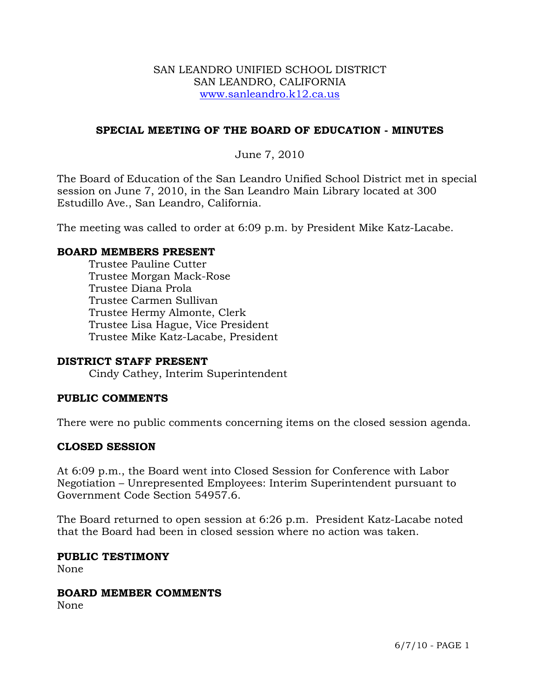### SAN LEANDRO UNIFIED SCHOOL DISTRICT SAN LEANDRO, CALIFORNIA www.sanleandro.k12.ca.us

# **SPECIAL MEETING OF THE BOARD OF EDUCATION - MINUTES**

## June 7, 2010

The Board of Education of the San Leandro Unified School District met in special session on June 7, 2010, in the San Leandro Main Library located at 300 Estudillo Ave., San Leandro, California.

The meeting was called to order at 6:09 p.m. by President Mike Katz-Lacabe.

### **BOARD MEMBERS PRESENT**

Trustee Pauline Cutter Trustee Morgan Mack-Rose Trustee Diana Prola Trustee Carmen Sullivan Trustee Hermy Almonte, Clerk Trustee Lisa Hague, Vice President Trustee Mike Katz-Lacabe, President

### **DISTRICT STAFF PRESENT**

Cindy Cathey, Interim Superintendent

### **PUBLIC COMMENTS**

There were no public comments concerning items on the closed session agenda.

### **CLOSED SESSION**

At 6:09 p.m., the Board went into Closed Session for Conference with Labor Negotiation – Unrepresented Employees: Interim Superintendent pursuant to Government Code Section 54957.6.

The Board returned to open session at 6:26 p.m. President Katz-Lacabe noted that the Board had been in closed session where no action was taken.

#### **PUBLIC TESTIMONY**

None

#### **BOARD MEMBER COMMENTS**

None